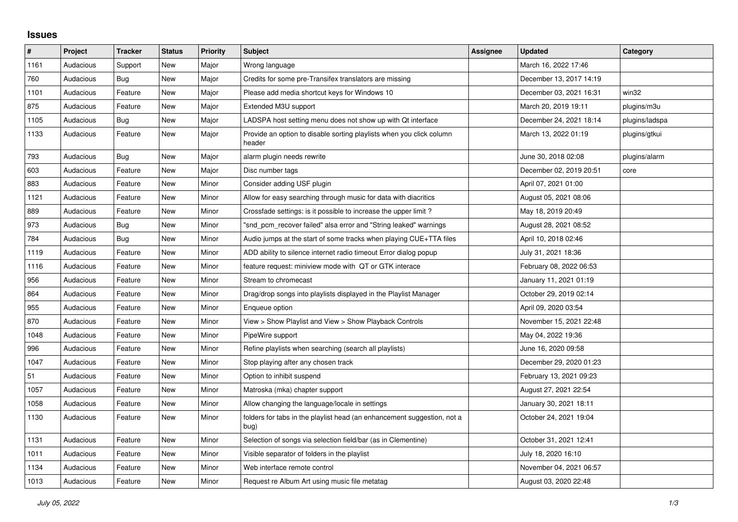## **Issues**

| $\vert$ # | Project   | <b>Tracker</b> | <b>Status</b> | <b>Priority</b> | <b>Subject</b>                                                                  | <b>Assignee</b> | <b>Updated</b>          | Category       |
|-----------|-----------|----------------|---------------|-----------------|---------------------------------------------------------------------------------|-----------------|-------------------------|----------------|
| 1161      | Audacious | Support        | New           | Major           | Wrong language                                                                  |                 | March 16, 2022 17:46    |                |
| 760       | Audacious | Bug            | <b>New</b>    | Major           | Credits for some pre-Transifex translators are missing                          |                 | December 13, 2017 14:19 |                |
| 1101      | Audacious | Feature        | New           | Major           | Please add media shortcut keys for Windows 10                                   |                 | December 03, 2021 16:31 | win32          |
| 875       | Audacious | Feature        | <b>New</b>    | Major           | Extended M3U support                                                            |                 | March 20, 2019 19:11    | plugins/m3u    |
| 1105      | Audacious | <b>Bug</b>     | <b>New</b>    | Major           | LADSPA host setting menu does not show up with Qt interface                     |                 | December 24, 2021 18:14 | plugins/ladspa |
| 1133      | Audacious | Feature        | <b>New</b>    | Major           | Provide an option to disable sorting playlists when you click column<br>header  |                 | March 13, 2022 01:19    | plugins/gtkui  |
| 793       | Audacious | <b>Bug</b>     | <b>New</b>    | Major           | alarm plugin needs rewrite                                                      |                 | June 30, 2018 02:08     | plugins/alarm  |
| 603       | Audacious | Feature        | New           | Major           | Disc number tags                                                                |                 | December 02, 2019 20:51 | core           |
| 883       | Audacious | Feature        | <b>New</b>    | Minor           | Consider adding USF plugin                                                      |                 | April 07, 2021 01:00    |                |
| 1121      | Audacious | Feature        | <b>New</b>    | Minor           | Allow for easy searching through music for data with diacritics                 |                 | August 05, 2021 08:06   |                |
| 889       | Audacious | Feature        | New           | Minor           | Crossfade settings: is it possible to increase the upper limit?                 |                 | May 18, 2019 20:49      |                |
| 973       | Audacious | Bug            | <b>New</b>    | Minor           | "snd pcm recover failed" alsa error and "String leaked" warnings                |                 | August 28, 2021 08:52   |                |
| 784       | Audacious | <b>Bug</b>     | <b>New</b>    | Minor           | Audio jumps at the start of some tracks when playing CUE+TTA files              |                 | April 10, 2018 02:46    |                |
| 1119      | Audacious | Feature        | New           | Minor           | ADD ability to silence internet radio timeout Error dialog popup                |                 | July 31, 2021 18:36     |                |
| 1116      | Audacious | Feature        | <b>New</b>    | Minor           | feature request: miniview mode with QT or GTK interace                          |                 | February 08, 2022 06:53 |                |
| 956       | Audacious | Feature        | <b>New</b>    | Minor           | Stream to chromecast                                                            |                 | January 11, 2021 01:19  |                |
| 864       | Audacious | Feature        | New           | Minor           | Drag/drop songs into playlists displayed in the Playlist Manager                |                 | October 29, 2019 02:14  |                |
| 955       | Audacious | Feature        | <b>New</b>    | Minor           | Enqueue option                                                                  |                 | April 09, 2020 03:54    |                |
| 870       | Audacious | Feature        | <b>New</b>    | Minor           | View > Show Playlist and View > Show Playback Controls                          |                 | November 15, 2021 22:48 |                |
| 1048      | Audacious | Feature        | New           | Minor           | PipeWire support                                                                |                 | May 04, 2022 19:36      |                |
| 996       | Audacious | Feature        | <b>New</b>    | Minor           | Refine playlists when searching (search all playlists)                          |                 | June 16, 2020 09:58     |                |
| 1047      | Audacious | Feature        | <b>New</b>    | Minor           | Stop playing after any chosen track                                             |                 | December 29, 2020 01:23 |                |
| 51        | Audacious | Feature        | New           | Minor           | Option to inhibit suspend                                                       |                 | February 13, 2021 09:23 |                |
| 1057      | Audacious | Feature        | <b>New</b>    | Minor           | Matroska (mka) chapter support                                                  |                 | August 27, 2021 22:54   |                |
| 1058      | Audacious | Feature        | <b>New</b>    | Minor           | Allow changing the language/locale in settings                                  |                 | January 30, 2021 18:11  |                |
| 1130      | Audacious | Feature        | New           | Minor           | folders for tabs in the playlist head (an enhancement suggestion, not a<br>bug) |                 | October 24, 2021 19:04  |                |
| 1131      | Audacious | Feature        | <b>New</b>    | Minor           | Selection of songs via selection field/bar (as in Clementine)                   |                 | October 31, 2021 12:41  |                |
| 1011      | Audacious | Feature        | New           | Minor           | Visible separator of folders in the playlist                                    |                 | July 18, 2020 16:10     |                |
| 1134      | Audacious | Feature        | New           | Minor           | Web interface remote control                                                    |                 | November 04, 2021 06:57 |                |
| 1013      | Audacious | Feature        | <b>New</b>    | Minor           | Request re Album Art using music file metatag                                   |                 | August 03, 2020 22:48   |                |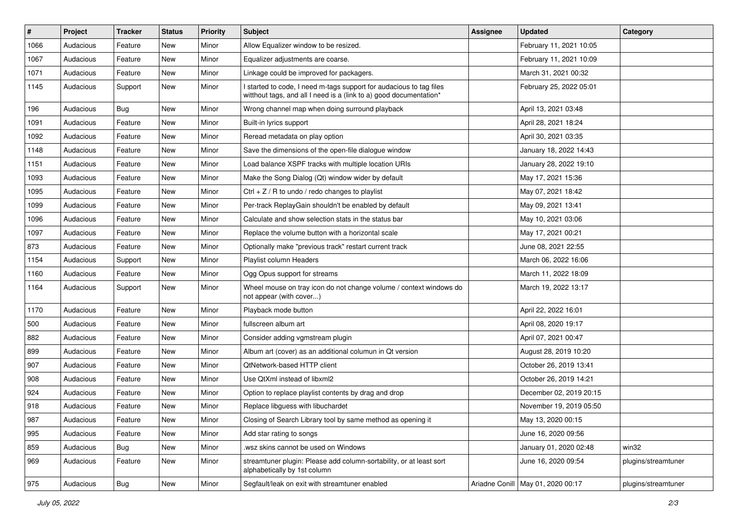| #    | Project   | <b>Tracker</b> | <b>Status</b> | <b>Priority</b> | Subject                                                                                                                                   | <b>Assignee</b> | <b>Updated</b>                      | Category            |
|------|-----------|----------------|---------------|-----------------|-------------------------------------------------------------------------------------------------------------------------------------------|-----------------|-------------------------------------|---------------------|
| 1066 | Audacious | Feature        | New           | Minor           | Allow Equalizer window to be resized.                                                                                                     |                 | February 11, 2021 10:05             |                     |
| 1067 | Audacious | Feature        | New           | Minor           | Equalizer adjustments are coarse.                                                                                                         |                 | February 11, 2021 10:09             |                     |
| 1071 | Audacious | Feature        | New           | Minor           | Linkage could be improved for packagers.                                                                                                  |                 | March 31, 2021 00:32                |                     |
| 1145 | Audacious | Support        | New           | Minor           | I started to code, I need m-tags support for audacious to tag files<br>witthout tags, and all I need is a (link to a) good documentation* |                 | February 25, 2022 05:01             |                     |
| 196  | Audacious | Bug            | New           | Minor           | Wrong channel map when doing surround playback                                                                                            |                 | April 13, 2021 03:48                |                     |
| 1091 | Audacious | Feature        | New           | Minor           | Built-in lyrics support                                                                                                                   |                 | April 28, 2021 18:24                |                     |
| 1092 | Audacious | Feature        | New           | Minor           | Reread metadata on play option                                                                                                            |                 | April 30, 2021 03:35                |                     |
| 1148 | Audacious | Feature        | New           | Minor           | Save the dimensions of the open-file dialogue window                                                                                      |                 | January 18, 2022 14:43              |                     |
| 1151 | Audacious | Feature        | New           | Minor           | Load balance XSPF tracks with multiple location URIs                                                                                      |                 | January 28, 2022 19:10              |                     |
| 1093 | Audacious | Feature        | New           | Minor           | Make the Song Dialog (Qt) window wider by default                                                                                         |                 | May 17, 2021 15:36                  |                     |
| 1095 | Audacious | Feature        | New           | Minor           | Ctrl + $Z$ / R to undo / redo changes to playlist                                                                                         |                 | May 07, 2021 18:42                  |                     |
| 1099 | Audacious | Feature        | New           | Minor           | Per-track ReplayGain shouldn't be enabled by default                                                                                      |                 | May 09, 2021 13:41                  |                     |
| 1096 | Audacious | Feature        | New           | Minor           | Calculate and show selection stats in the status bar                                                                                      |                 | May 10, 2021 03:06                  |                     |
| 1097 | Audacious | Feature        | New           | Minor           | Replace the volume button with a horizontal scale                                                                                         |                 | May 17, 2021 00:21                  |                     |
| 873  | Audacious | Feature        | New           | Minor           | Optionally make "previous track" restart current track                                                                                    |                 | June 08, 2021 22:55                 |                     |
| 1154 | Audacious | Support        | New           | Minor           | Playlist column Headers                                                                                                                   |                 | March 06, 2022 16:06                |                     |
| 1160 | Audacious | Feature        | New           | Minor           | Ogg Opus support for streams                                                                                                              |                 | March 11, 2022 18:09                |                     |
| 1164 | Audacious | Support        | New           | Minor           | Wheel mouse on tray icon do not change volume / context windows do<br>not appear (with cover)                                             |                 | March 19, 2022 13:17                |                     |
| 1170 | Audacious | Feature        | New           | Minor           | Playback mode button                                                                                                                      |                 | April 22, 2022 16:01                |                     |
| 500  | Audacious | Feature        | New           | Minor           | fullscreen album art                                                                                                                      |                 | April 08, 2020 19:17                |                     |
| 882  | Audacious | Feature        | New           | Minor           | Consider adding vgmstream plugin                                                                                                          |                 | April 07, 2021 00:47                |                     |
| 899  | Audacious | Feature        | New           | Minor           | Album art (cover) as an additional columun in Qt version                                                                                  |                 | August 28, 2019 10:20               |                     |
| 907  | Audacious | Feature        | New           | Minor           | QtNetwork-based HTTP client                                                                                                               |                 | October 26, 2019 13:41              |                     |
| 908  | Audacious | Feature        | New           | Minor           | Use QtXml instead of libxml2                                                                                                              |                 | October 26, 2019 14:21              |                     |
| 924  | Audacious | Feature        | New           | Minor           | Option to replace playlist contents by drag and drop                                                                                      |                 | December 02, 2019 20:15             |                     |
| 918  | Audacious | Feature        | New           | Minor           | Replace libguess with libuchardet                                                                                                         |                 | November 19, 2019 05:50             |                     |
| 987  | Audacious | Feature        | New           | Minor           | Closing of Search Library tool by same method as opening it                                                                               |                 | May 13, 2020 00:15                  |                     |
| 995  | Audacious | Feature        | New           | Minor           | Add star rating to songs                                                                                                                  |                 | June 16, 2020 09:56                 |                     |
| 859  | Audacious | Bug            | New           | Minor           | wsz skins cannot be used on Windows                                                                                                       |                 | January 01, 2020 02:48              | win32               |
| 969  | Audacious | Feature        | New           | Minor           | streamtuner plugin: Please add column-sortability, or at least sort<br>alphabetically by 1st column                                       |                 | June 16, 2020 09:54                 | plugins/streamtuner |
| 975  | Audacious | Bug            | New           | Minor           | Segfault/leak on exit with streamtuner enabled                                                                                            |                 | Ariadne Conill   May 01, 2020 00:17 | plugins/streamtuner |